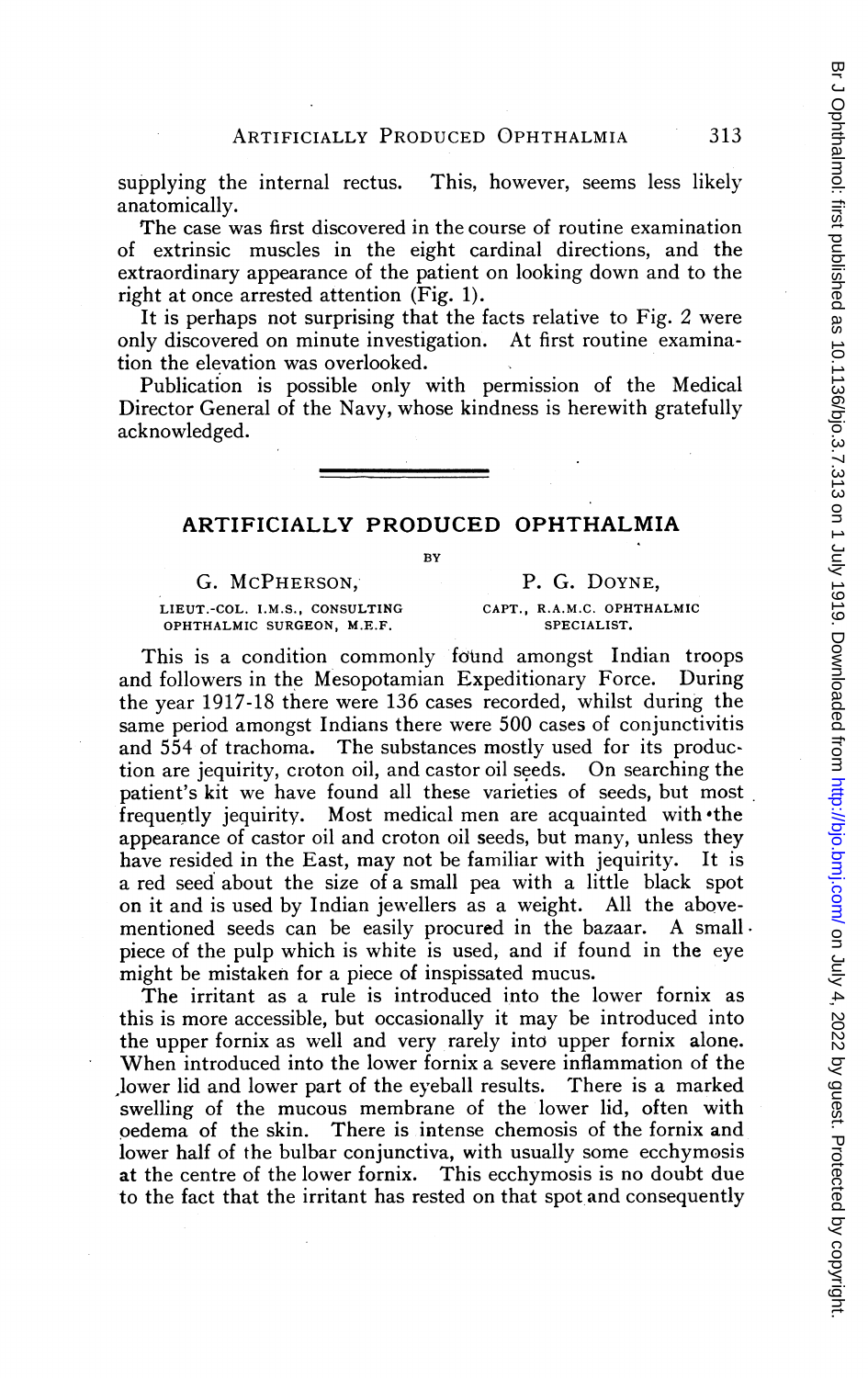supplying the internal rectus. This, however, seems less likely anatomically.

The case was first discovered in the course of routine examination of extrinsic muscles in the eight cardinal directions, and the extraordinary appearance of the patient on looking down and to the right at once arrested attention (Fig. 1).

It is perhaps not surprising that the facts relative to Fig. 2 were only discovered on minute investigation. At first routine examination the elevation was overlooked.

Publication is possible only with permission of the Medical Director General of the Navy, whose kindness is herewith gratefully acknowledged.

# ARTIFICIALLY PRODUCED OPHTHALMIA BY

#### G. MCPHERSON. P. G. DOYNE,

LIEUT.-COL. I.M.S., CONSULTING CAPT., R.A.M.C. OPHTHALMIC<br>OPHTHALMIC SURGEON, M.E.F. SPECIALIST. OPHTHALMIC SURGEON, M.E.F.

This is a condition commonly found amongst Indian troops and followers in the Mesopotamian Expeditionary Force. During the year 1917-18 there were 136 cases recorded, whilst during the same period amongst Indians there were 500 cases of conjunctivitis and 554 of trachoma. The substances mostly used for its production are jequirity, croton oil, and castor oil seeds. On searching the patient's kit we have found all these varieties of seeds, but most frequently jequirity. Most medical men are acquainted with the appearance of castor oil and croton oil seeds, but many, unless they have resided in the East, may not be familiar with jequirity. It is a red seed about the size of a small pea with a little black spot on it and is used by Indian jewellers as a weight. All the abovementioned seeds can be easily procured in the bazaar. A small piece of the pulp which is white is used, and if found in the eye might be mistaken for a piece of inspissated mucus.

The irritant as a rule is introduced into the lower fornix as this is more accessible, but occasionally it may be introduced into the upper fornix as well and very rarely into upper fornix alone. When introduced into the lower fornix a severe inflammation of the lower lid and lower part of the eyeball results. There is a marked lower lid and lower part of the eyeball results. swelling of the mucous membrane of the lower lid, often with oedema of the skin. There is intense chemosis of the fornix and lower half of the bulbar conjunctiva, with usually some ecchymosis at the centre of the lower fornix. This ecchymosis is no doubt due to the fact that the irritant has rested on that spot and consequently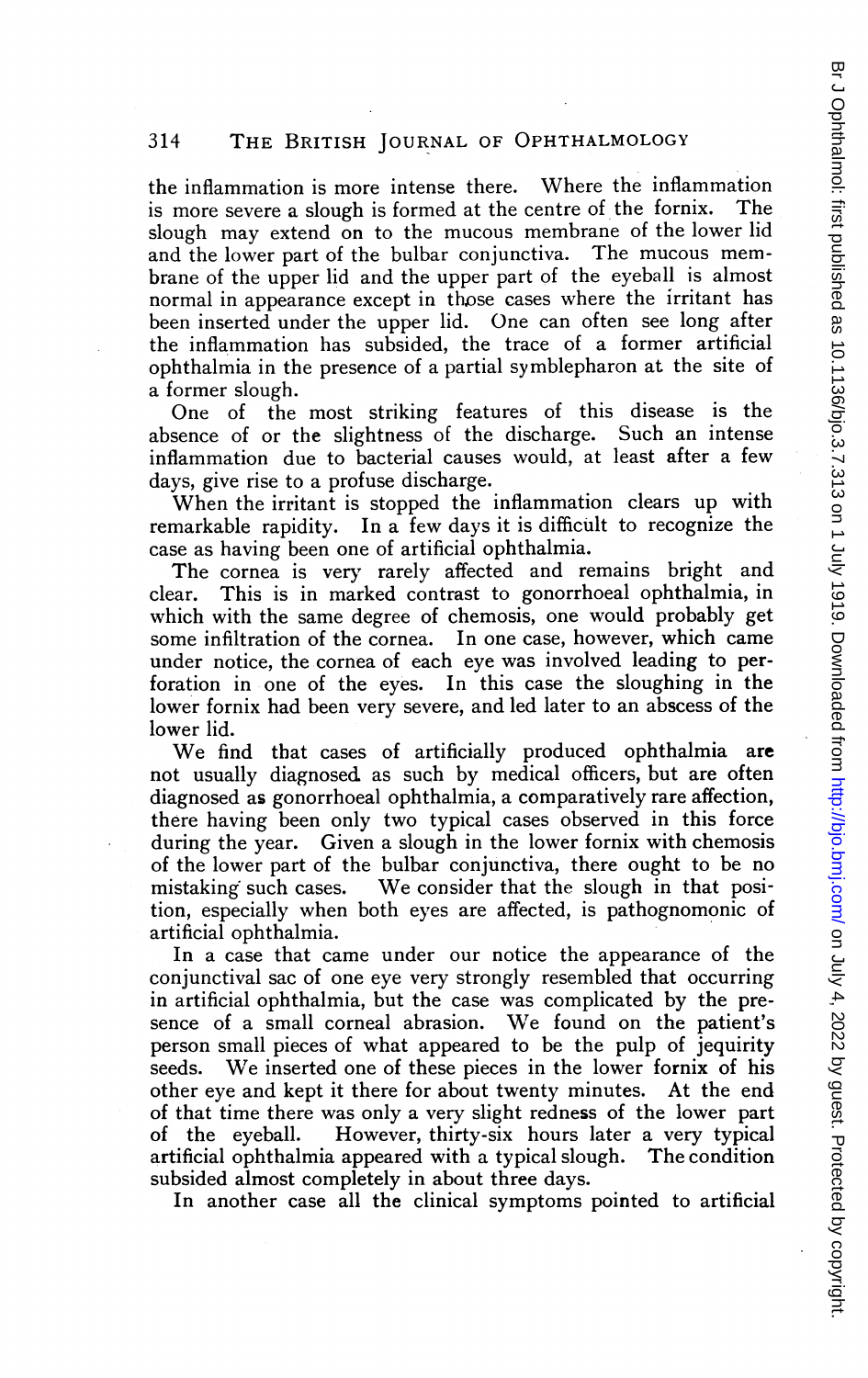## 314 THE BRITISH JOURNAL OF OPHTHALMOLOGY

the inflammation is more intense there. Where the inflammation is more severe a slough is formed at the centre of the fornix. The slough may extend on to the mucous membrane of the lower lid and the lower part of the bulbar conjunctiva. The mucous membrane of the upper lid and the upper part of the eyeball is almost normal in appearance except in those cases where the irritant has been inserted under the upper lid. One can often see long after the inflammation has subsided, the trace of a former artificial ophthalmia in the presence of a partial symblepharon at the site of a former slough.

One of the most striking features of this disease is the absence of or the slightness of the discharge. Such an intense inflammation due to bacterial causes would, at least after a few days, give rise to a profuse discharge.

When the irritant is stopped the inflammation clears up with remarkable rapidity. In a few days it is difficult to recognize the case as having been one of artificial ophthalmia.

The cornea is very rarely affected and remains bright and clear. This is in marked contrast to gonorrhoeal ophthalmia, in which with the same degree of chemosis, one would probably get some infiltration of the cornea. In one case, however, which came under notice, the cornea of each eye was involved leading to perforation in -one of the eyes. In this case the sloughing in the lower fornix had been very severe, and led later to an abscess of the lower lid.

We find that cases of artificially produced ophthalmia are not usually diagnosed as such by medical officers, but are often diagnosed as gonorrhoeal ophthalmia, a comparatively rare affection, there having been only two typical cases observed in this force during the year. Given a slough in the lower fornix with chemosis of the lower part of the bulbar conjunctiva, there ought to be no mistaking such cases. We consider that the slough in that position, especially when both eyes are affected, is pathognomonic of artificial ophthalmia.

In a case that came under our notice the appearance of the conjunctival sac of one eye very strongly resembled that occurring in artificial ophthalmia, but the case was complicated by the presence of <sup>a</sup> small corneal abrasion. We found on the patient's person small pieces of what appeared to be the pulp of jequirity seeds. We inserted one of these pieces in the lower fornix of his other eye and kept it there for about twenty minutes. At the end of that time there was only a very slight redness of the lower part of the eyeball. However, thirty-six hours later a very typical<br>artificial ophthalmia appeared with a typical slough. The condition artificial ophthalmia appeared with a typical slough. subsided almost completely in about three days.

In another case all the clinical symptoms pointed to artificial